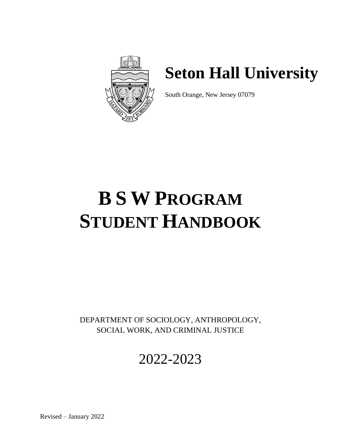

# **Seton Hall University**

South Orange, New Jersey 07079

# **B S W PROGRAM STUDENT HANDBOOK**

DEPARTMENT OF SOCIOLOGY, ANTHROPOLOGY, SOCIAL WORK, AND CRIMINAL JUSTICE

# 2022-2023

Revised – January 2022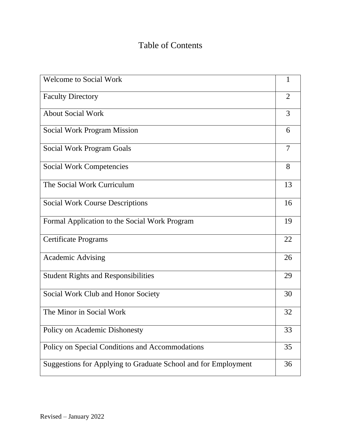### Table of Contents

| <b>Welcome to Social Work</b>                                  |                |
|----------------------------------------------------------------|----------------|
| <b>Faculty Directory</b>                                       | 2              |
| <b>About Social Work</b>                                       | 3              |
| <b>Social Work Program Mission</b>                             | 6              |
| <b>Social Work Program Goals</b>                               | $\overline{7}$ |
| <b>Social Work Competencies</b>                                | 8              |
| The Social Work Curriculum                                     | 13             |
| <b>Social Work Course Descriptions</b>                         | 16             |
| Formal Application to the Social Work Program                  | 19             |
| <b>Certificate Programs</b>                                    | 22             |
| <b>Academic Advising</b>                                       | 26             |
| <b>Student Rights and Responsibilities</b>                     |                |
| Social Work Club and Honor Society                             | 30             |
| The Minor in Social Work                                       | 32             |
| Policy on Academic Dishonesty                                  | 33             |
| Policy on Special Conditions and Accommodations                | 35             |
| Suggestions for Applying to Graduate School and for Employment |                |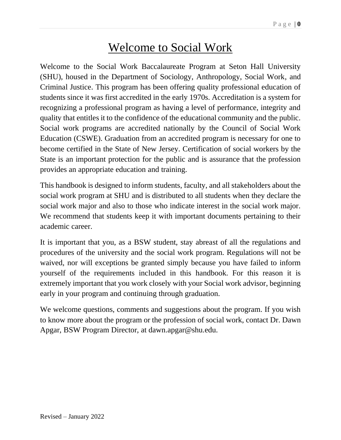### Welcome to Social Work

Welcome to the Social Work Baccalaureate Program at Seton Hall University (SHU), housed in the Department of Sociology, Anthropology, Social Work, and Criminal Justice. This program has been offering quality professional education of students since it was first accredited in the early 1970s. Accreditation is a system for recognizing a professional program as having a level of performance, integrity and quality that entitles it to the confidence of the educational community and the public. Social work programs are accredited nationally by the Council of Social Work Education (CSWE). Graduation from an accredited program is necessary for one to become certified in the State of New Jersey. Certification of social workers by the State is an important protection for the public and is assurance that the profession provides an appropriate education and training.

This handbook is designed to inform students, faculty, and all stakeholders about the social work program at SHU and is distributed to all students when they declare the social work major and also to those who indicate interest in the social work major. We recommend that students keep it with important documents pertaining to their academic career.

It is important that you, as a BSW student, stay abreast of all the regulations and procedures of the university and the social work program. Regulations will not be waived, nor will exceptions be granted simply because you have failed to inform yourself of the requirements included in this handbook. For this reason it is extremely important that you work closely with your Social work advisor, beginning early in your program and continuing through graduation.

We welcome questions, comments and suggestions about the program. If you wish to know more about the program or the profession of social work, contact Dr. Dawn Apgar, BSW Program Director, at dawn.apgar@shu.edu.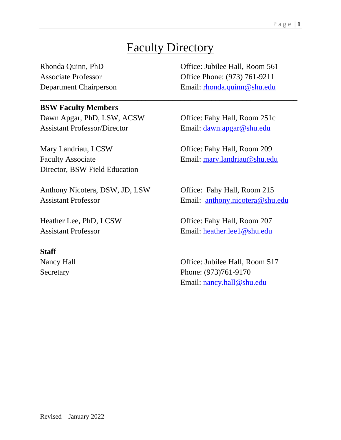# Faculty Directory

\_\_\_\_\_\_\_\_\_\_\_\_\_\_\_\_\_\_\_\_\_\_\_\_\_\_\_\_\_\_\_\_\_\_\_\_\_\_\_\_\_\_\_\_\_\_\_\_\_\_\_\_\_\_\_\_\_\_\_\_\_\_\_\_\_\_

#### **BSW Faculty Members**

Dawn Apgar, PhD, LSW, ACSW Office: Fahy Hall, Room 251c Assistant Professor/Director Email: [dawn.apgar@shu.edu](mailto:dawn.apgar@shu.edu)

Mary Landriau, LCSW Office: Fahy Hall, Room 209 Faculty Associate Email: [mary.landriau@shu.edu](mailto:mary.landriau@shu.edu) Director, BSW Field Education

Anthony Nicotera, DSW, JD, LSW Office: Fahy Hall, Room 215 Assistant Professor Email: [anthony.nicotera@shu.edu](mailto:anthony.nicotera@shu.edu)

#### **Staff**

Rhonda Quinn, PhD Office: Jubilee Hall, Room 561 Associate Professor **Office Phone: (973) 761-9211** Department Chairperson Email: [rhonda.quinn@shu.edu](mailto:rhonda.quinn@shu.edu)

Heather Lee, PhD, LCSW Office: Fahy Hall, Room 207 Assistant Professor Email: [heather.lee1@shu.edu](mailto:heather.lee1@shu.edu)

Nancy Hall **Nancy Hall** Office: Jubilee Hall, Room 517 Secretary Phone: (973)761-9170 Email: [nancy.hall@shu.edu](mailto:nancy.hall@shu.edu)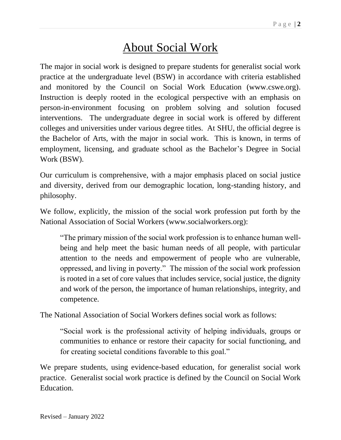# About Social Work

The major in social work is designed to prepare students for generalist social work practice at the undergraduate level (BSW) in accordance with criteria established and monitored by the Council on Social Work Education (www.cswe.org). Instruction is deeply rooted in the ecological perspective with an emphasis on person-in-environment focusing on problem solving and solution focused interventions. The undergraduate degree in social work is offered by different colleges and universities under various degree titles. At SHU, the official degree is the Bachelor of Arts, with the major in social work. This is known, in terms of employment, licensing, and graduate school as the Bachelor's Degree in Social Work (BSW).

Our curriculum is comprehensive, with a major emphasis placed on social justice and diversity, derived from our demographic location, long-standing history, and philosophy.

We follow, explicitly, the mission of the social work profession put forth by the National Association of Social Workers (www.socialworkers.org):

"The primary mission of the social work profession is to enhance human wellbeing and help meet the basic human needs of all people, with particular attention to the needs and empowerment of people who are vulnerable, oppressed, and living in poverty." The mission of the social work profession is rooted in a set of core values that includes service, social justice, the dignity and work of the person, the importance of human relationships, integrity, and competence.

The National Association of Social Workers defines social work as follows:

"Social work is the professional activity of helping individuals, groups or communities to enhance or restore their capacity for social functioning, and for creating societal conditions favorable to this goal."

We prepare students, using evidence-based education, for generalist social work practice. Generalist social work practice is defined by the Council on Social Work Education.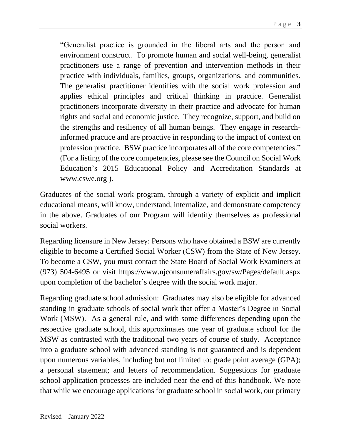"Generalist practice is grounded in the liberal arts and the person and environment construct. To promote human and social well-being, generalist practitioners use a range of prevention and intervention methods in their practice with individuals, families, groups, organizations, and communities. The generalist practitioner identifies with the social work profession and applies ethical principles and critical thinking in practice. Generalist practitioners incorporate diversity in their practice and advocate for human rights and social and economic justice. They recognize, support, and build on the strengths and resiliency of all human beings. They engage in researchinformed practice and are proactive in responding to the impact of context on profession practice. BSW practice incorporates all of the core competencies." (For a listing of the core competencies, please see the Council on Social Work Education's 2015 Educational Policy and Accreditation Standards at www.cswe.org ).

Graduates of the social work program, through a variety of explicit and implicit educational means, will know, understand, internalize, and demonstrate competency in the above. Graduates of our Program will identify themselves as professional social workers.

Regarding licensure in New Jersey: Persons who have obtained a BSW are currently eligible to become a Certified Social Worker (CSW) from the State of New Jersey. To become a CSW, you must contact the State Board of Social Work Examiners at (973) 504-6495 or visit https://www.njconsumeraffairs.gov/sw/Pages/default.aspx upon completion of the bachelor's degree with the social work major.

Regarding graduate school admission: Graduates may also be eligible for advanced standing in graduate schools of social work that offer a Master's Degree in Social Work (MSW). As a general rule, and with some differences depending upon the respective graduate school, this approximates one year of graduate school for the MSW as contrasted with the traditional two years of course of study. Acceptance into a graduate school with advanced standing is not guaranteed and is dependent upon numerous variables, including but not limited to: grade point average (GPA); a personal statement; and letters of recommendation. Suggestions for graduate school application processes are included near the end of this handbook. We note that while we encourage applications for graduate school in social work, our primary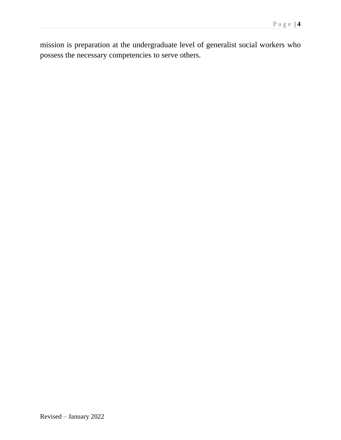mission is preparation at the undergraduate level of generalist social workers who possess the necessary competencies to serve others.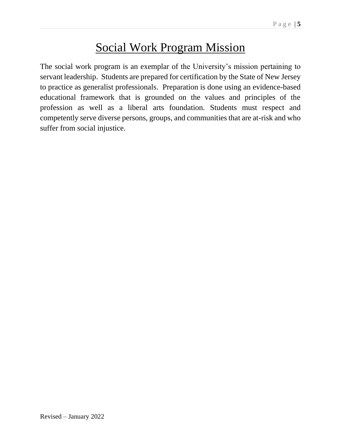# Social Work Program Mission

The social work program is an exemplar of the University's mission pertaining to servant leadership. Students are prepared for certification by the State of New Jersey to practice as generalist professionals. Preparation is done using an evidence-based educational framework that is grounded on the values and principles of the profession as well as a liberal arts foundation. Students must respect and competently serve diverse persons, groups, and communities that are at-risk and who suffer from social injustice.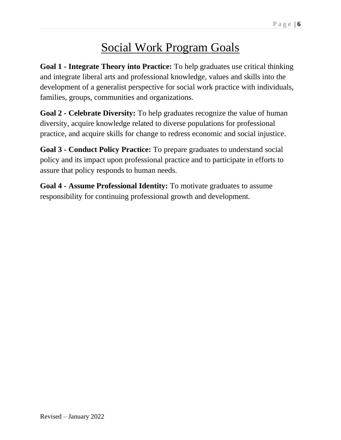# Social Work Program Goals

**Goal 1 - Integrate Theory into Practice:** To help graduates use critical thinking and integrate liberal arts and professional knowledge, values and skills into the development of a generalist perspective for social work practice with individuals, families, groups, communities and organizations.

**Goal 2 - Celebrate Diversity:** To help graduates recognize the value of human diversity, acquire knowledge related to diverse populations for professional practice, and acquire skills for change to redress economic and social injustice.

**Goal 3 - Conduct Policy Practice:** To prepare graduates to understand social policy and its impact upon professional practice and to participate in efforts to assure that policy responds to human needs.

**Goal 4 - Assume Professional Identity:** To motivate graduates to assume responsibility for continuing professional growth and development.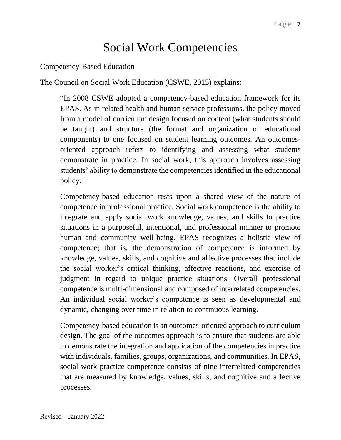# Social Work Competencies

#### Competency-Based Education

The Council on Social Work Education (CSWE, 2015) explains:

"In 2008 CSWE adopted a competency-based education framework for its EPAS. As in related health and human service professions, the policy moved from a model of curriculum design focused on content (what students should be taught) and structure (the format and organization of educational components) to one focused on student learning outcomes. An outcomesoriented approach refers to identifying and assessing what students demonstrate in practice. In social work, this approach involves assessing students' ability to demonstrate the competencies identified in the educational policy.

Competency-based education rests upon a shared view of the nature of competence in professional practice. Social work competence is the ability to integrate and apply social work knowledge, values, and skills to practice situations in a purposeful, intentional, and professional manner to promote human and community well-being. EPAS recognizes a holistic view of competence; that is, the demonstration of competence is informed by knowledge, values, skills, and cognitive and affective processes that include the social worker's critical thinking, affective reactions, and exercise of judgment in regard to unique practice situations. Overall professional competence is multi-dimensional and composed of interrelated competencies. An individual social worker's competence is seen as developmental and dynamic, changing over time in relation to continuous learning.

Competency-based education is an outcomes-oriented approach to curriculum design. The goal of the outcomes approach is to ensure that students are able to demonstrate the integration and application of the competencies in practice with individuals, families, groups, organizations, and communities. In EPAS, social work practice competence consists of nine interrelated competencies that are measured by knowledge, values, skills, and cognitive and affective processes.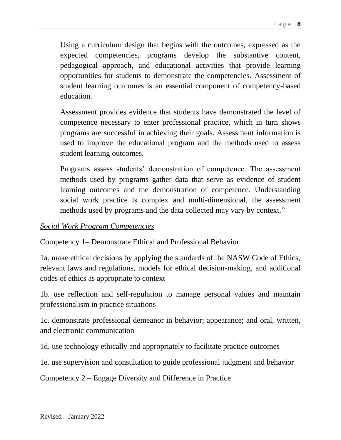Using a curriculum design that begins with the outcomes, expressed as the expected competencies, programs develop the substantive content, pedagogical approach, and educational activities that provide learning opportunities for students to demonstrate the competencies. Assessment of student learning outcomes is an essential component of competency-based education.

Assessment provides evidence that students have demonstrated the level of competence necessary to enter professional practice, which in turn shows programs are successful in achieving their goals. Assessment information is used to improve the educational program and the methods used to assess student learning outcomes.

Programs assess students' demonstration of competence. The assessment methods used by programs gather data that serve as evidence of student learning outcomes and the demonstration of competence. Understanding social work practice is complex and multi-dimensional, the assessment methods used by programs and the data collected may vary by context."

#### *Social Work Program Competencies*

Competency 1– Demonstrate Ethical and Professional Behavior

1a. make ethical decisions by applying the standards of the NASW Code of Ethics, relevant laws and regulations, models for ethical decision-making, and additional codes of ethics as appropriate to context

1b. use reflection and self-regulation to manage personal values and maintain professionalism in practice situations

1c. demonstrate professional demeanor in behavior; appearance; and oral, written, and electronic communication

1d. use technology ethically and appropriately to facilitate practice outcomes

1e. use supervision and consultation to guide professional judgment and behavior

Competency 2 – Engage Diversity and Difference in Practice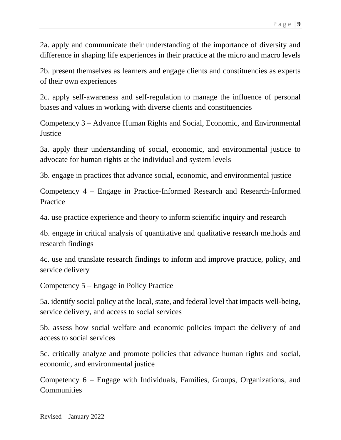2a. apply and communicate their understanding of the importance of diversity and difference in shaping life experiences in their practice at the micro and macro levels

2b. present themselves as learners and engage clients and constituencies as experts of their own experiences

2c. apply self-awareness and self-regulation to manage the influence of personal biases and values in working with diverse clients and constituencies

Competency 3 – Advance Human Rights and Social, Economic, and Environmental **Justice** 

3a. apply their understanding of social, economic, and environmental justice to advocate for human rights at the individual and system levels

3b. engage in practices that advance social, economic, and environmental justice

Competency 4 – Engage in Practice-Informed Research and Research-Informed Practice

4a. use practice experience and theory to inform scientific inquiry and research

4b. engage in critical analysis of quantitative and qualitative research methods and research findings

4c. use and translate research findings to inform and improve practice, policy, and service delivery

Competency 5 – Engage in Policy Practice

5a. identify social policy at the local, state, and federal level that impacts well-being, service delivery, and access to social services

5b. assess how social welfare and economic policies impact the delivery of and access to social services

5c. critically analyze and promote policies that advance human rights and social, economic, and environmental justice

Competency 6 – Engage with Individuals, Families, Groups, Organizations, and **Communities**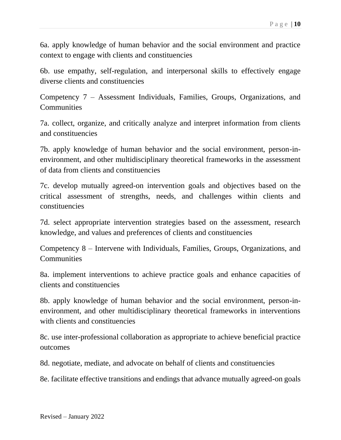6a. apply knowledge of human behavior and the social environment and practice context to engage with clients and constituencies

6b. use empathy, self-regulation, and interpersonal skills to effectively engage diverse clients and constituencies

Competency 7 – Assessment Individuals, Families, Groups, Organizations, and **Communities** 

7a. collect, organize, and critically analyze and interpret information from clients and constituencies

7b. apply knowledge of human behavior and the social environment, person-inenvironment, and other multidisciplinary theoretical frameworks in the assessment of data from clients and constituencies

7c. develop mutually agreed-on intervention goals and objectives based on the critical assessment of strengths, needs, and challenges within clients and constituencies

7d. select appropriate intervention strategies based on the assessment, research knowledge, and values and preferences of clients and constituencies

Competency 8 – Intervene with Individuals, Families, Groups, Organizations, and **Communities** 

8a. implement interventions to achieve practice goals and enhance capacities of clients and constituencies

8b. apply knowledge of human behavior and the social environment, person-inenvironment, and other multidisciplinary theoretical frameworks in interventions with clients and constituencies

8c. use inter-professional collaboration as appropriate to achieve beneficial practice outcomes

8d. negotiate, mediate, and advocate on behalf of clients and constituencies

8e. facilitate effective transitions and endings that advance mutually agreed-on goals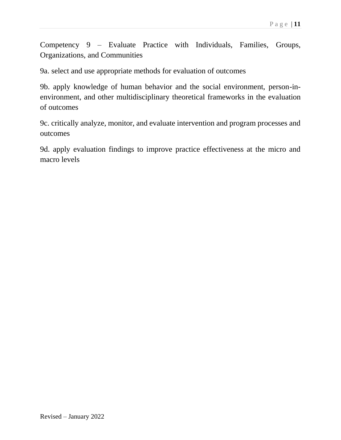Competency 9 – Evaluate Practice with Individuals, Families, Groups, Organizations, and Communities

9a. select and use appropriate methods for evaluation of outcomes

9b. apply knowledge of human behavior and the social environment, person-inenvironment, and other multidisciplinary theoretical frameworks in the evaluation of outcomes

9c. critically analyze, monitor, and evaluate intervention and program processes and outcomes

9d. apply evaluation findings to improve practice effectiveness at the micro and macro levels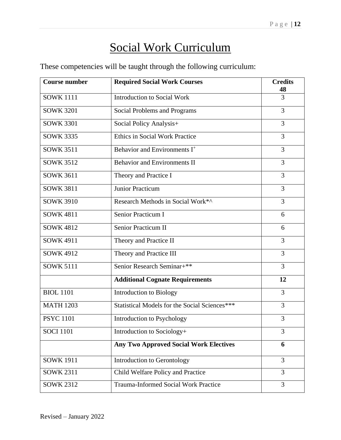# Social Work Curriculum

These competencies will be taught through the following curriculum:

| <b>Course number</b> | <b>Required Social Work Courses</b>           | <b>Credits</b><br>48 |
|----------------------|-----------------------------------------------|----------------------|
| <b>SOWK 1111</b>     | <b>Introduction to Social Work</b>            | 3                    |
| <b>SOWK 3201</b>     | Social Problems and Programs                  | 3                    |
| <b>SOWK 3301</b>     | Social Policy Analysis+                       | 3                    |
| <b>SOWK 3335</b>     | <b>Ethics in Social Work Practice</b>         | 3                    |
| <b>SOWK 3511</b>     | Behavior and Environments I <sup>+</sup>      | 3                    |
| <b>SOWK 3512</b>     | <b>Behavior and Environments II</b>           | 3                    |
| <b>SOWK 3611</b>     | Theory and Practice I                         | 3                    |
| <b>SOWK 3811</b>     | <b>Junior Practicum</b>                       | 3                    |
| <b>SOWK 3910</b>     | Research Methods in Social Work*^             | 3                    |
| <b>SOWK 4811</b>     | Senior Practicum I                            | 6                    |
| <b>SOWK 4812</b>     | <b>Senior Practicum II</b>                    | 6                    |
| <b>SOWK 4911</b>     | Theory and Practice II                        | 3                    |
| <b>SOWK 4912</b>     | Theory and Practice III                       | 3                    |
| <b>SOWK 5111</b>     | Senior Research Seminar+**                    | 3                    |
|                      | <b>Additional Cognate Requirements</b>        | 12                   |
| <b>BIOL 1101</b>     | <b>Introduction to Biology</b>                | 3                    |
| <b>MATH 1203</b>     | Statistical Models for the Social Sciences*** | 3                    |
| <b>PSYC 1101</b>     | Introduction to Psychology                    | 3                    |
| <b>SOCI 1101</b>     | Introduction to Sociology+                    | 3                    |
|                      | <b>Any Two Approved Social Work Electives</b> | 6                    |
| <b>SOWK 1911</b>     | Introduction to Gerontology                   | 3                    |
| <b>SOWK 2311</b>     | Child Welfare Policy and Practice             | 3                    |
| <b>SOWK 2312</b>     | <b>Trauma-Informed Social Work Practice</b>   | 3                    |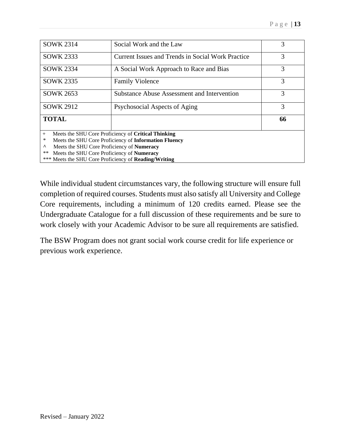| <b>SOWK 2314</b>                                             | Social Work and the Law                            | 3  |  |  |
|--------------------------------------------------------------|----------------------------------------------------|----|--|--|
| <b>SOWK 2333</b>                                             | Current Issues and Trends in Social Work Practice  | 3  |  |  |
| <b>SOWK 2334</b>                                             | A Social Work Approach to Race and Bias            | 3  |  |  |
| <b>SOWK 2335</b>                                             | <b>Family Violence</b>                             | 3  |  |  |
| <b>SOWK 2653</b>                                             | <b>Substance Abuse Assessment and Intervention</b> | 3  |  |  |
| <b>SOWK 2912</b>                                             | Psychosocial Aspects of Aging                      | 3  |  |  |
| <b>TOTAL</b>                                                 |                                                    | 66 |  |  |
| Meets the SHU Core Proficiency of Critical Thinking<br>$+$   |                                                    |    |  |  |
| Meets the SHU Core Proficiency of Information Fluency<br>*   |                                                    |    |  |  |
| Meets the SHU Core Proficiency of Numeracy<br>Λ              |                                                    |    |  |  |
| $***$<br>Meets the SHU Core Proficiency of Numeracy          |                                                    |    |  |  |
| *** Meets the SHU Core Proficiency of <b>Reading/Writing</b> |                                                    |    |  |  |
|                                                              |                                                    |    |  |  |

While individual student circumstances vary, the following structure will ensure full completion of required courses. Students must also satisfy all University and College Core requirements, including a minimum of 120 credits earned. Please see the Undergraduate Catalogue for a full discussion of these requirements and be sure to work closely with your Academic Advisor to be sure all requirements are satisfied.

The BSW Program does not grant social work course credit for life experience or previous work experience.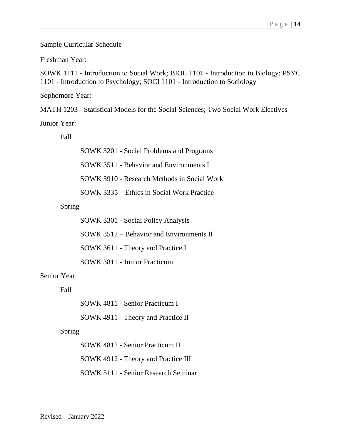Sample Curricular Schedule

Freshman Year:

SOWK 1111 - Introduction to Social Work; BIOL 1101 - Introduction to Biology; PSYC 1101 - Introduction to Psychology; SOCI 1101 - Introduction to Sociology

Sophomore Year:

MATH 1203 - Statistical Models for the Social Sciences; Two Social Work Electives

Junior Year:

Fall

SOWK 3201 - Social Problems and Programs SOWK 3511 - Behavior and Environments I SOWK 3910 - Research Methods in Social Work SOWK 3335 – Ethics in Social Work Practice

Spring

SOWK 3301 - Social Policy Analysis SOWK 3512 – Behavior and Environments II SOWK 3611 - Theory and Practice I SOWK 3811 - Junior Practicum

Senior Year

Fall

SOWK 4811 - Senior Practicum I

SOWK 4911 - Theory and Practice II

Spring

SOWK 4812 - Senior Practicum II SOWK 4912 - Theory and Practice III SOWK 5111 - Senior Research Seminar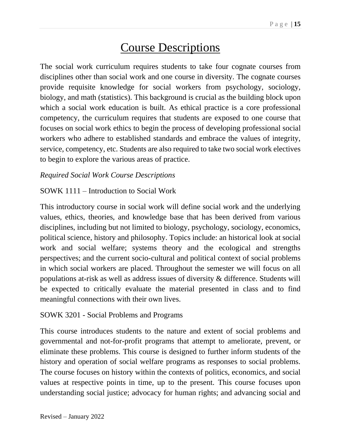## Course Descriptions

The social work curriculum requires students to take four cognate courses from disciplines other than social work and one course in diversity. The cognate courses provide requisite knowledge for social workers from psychology, sociology, biology, and math (statistics). This background is crucial as the building block upon which a social work education is built. As ethical practice is a core professional competency, the curriculum requires that students are exposed to one course that focuses on social work ethics to begin the process of developing professional social workers who adhere to established standards and embrace the values of integrity, service, competency, etc. Students are also required to take two social work electives to begin to explore the various areas of practice.

#### *Required Social Work Course Descriptions*

#### SOWK 1111 – Introduction to Social Work

This introductory course in social work will define social work and the underlying values, ethics, theories, and knowledge base that has been derived from various disciplines, including but not limited to biology, psychology, sociology, economics, political science, history and philosophy. Topics include: an historical look at social work and social welfare; systems theory and the ecological and strengths perspectives; and the current socio-cultural and political context of social problems in which social workers are placed. Throughout the semester we will focus on all populations at-risk as well as address issues of diversity & difference. Students will be expected to critically evaluate the material presented in class and to find meaningful connections with their own lives.

#### SOWK 3201 - Social Problems and Programs

This course introduces students to the nature and extent of social problems and governmental and not-for-profit programs that attempt to ameliorate, prevent, or eliminate these problems. This course is designed to further inform students of the history and operation of social welfare programs as responses to social problems. The course focuses on history within the contexts of politics, economics, and social values at respective points in time, up to the present. This course focuses upon understanding social justice; advocacy for human rights; and advancing social and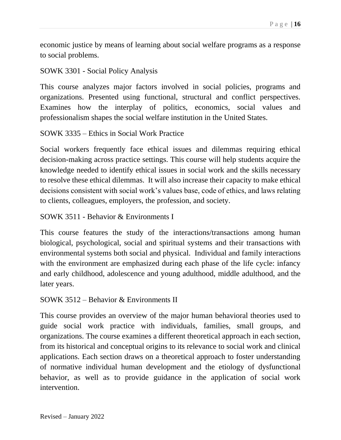economic justice by means of learning about social welfare programs as a response to social problems.

#### SOWK 3301 - Social Policy Analysis

This course analyzes major factors involved in social policies, programs and organizations. Presented using functional, structural and conflict perspectives. Examines how the interplay of politics, economics, social values and professionalism shapes the social welfare institution in the United States.

#### SOWK 3335 – Ethics in Social Work Practice

Social workers frequently face ethical issues and dilemmas requiring ethical decision-making across practice settings. This course will help students acquire the knowledge needed to identify ethical issues in social work and the skills necessary to resolve these ethical dilemmas. It will also increase their capacity to make ethical decisions consistent with social work's values base, code of ethics, and laws relating to clients, colleagues, employers, the profession, and society.

#### SOWK 3511 - Behavior & Environments I

This course features the study of the interactions/transactions among human biological, psychological, social and spiritual systems and their transactions with environmental systems both social and physical. Individual and family interactions with the environment are emphasized during each phase of the life cycle: infancy and early childhood, adolescence and young adulthood, middle adulthood, and the later years.

#### SOWK 3512 – Behavior & Environments II

This course provides an overview of the major human behavioral theories used to guide social work practice with individuals, families, small groups, and organizations. The course examines a different theoretical approach in each section, from its historical and conceptual origins to its relevance to social work and clinical applications. Each section draws on a theoretical approach to foster understanding of normative individual human development and the etiology of dysfunctional behavior, as well as to provide guidance in the application of social work intervention.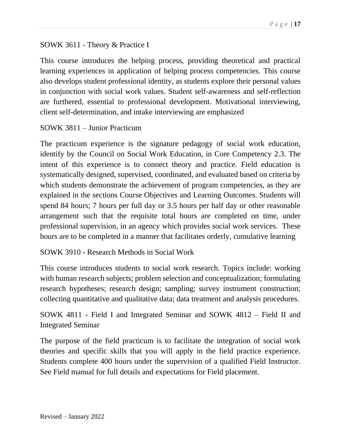#### SOWK 3611 - Theory & Practice I

This course introduces the helping process, providing theoretical and practical learning experiences in application of helping process competencies. This course also develops student professional identity, as students explore their personal values in conjunction with social work values. Student self-awareness and self-reflection are furthered, essential to professional development. Motivational interviewing, client self-determination, and intake interviewing are emphasized

#### SOWK 3811 – Junior Practicum

The practicum experience is the signature pedagogy of social work education, identify by the Council on Social Work Education, in Core Competency 2.3. The intent of this experience is to connect theory and practice. Field education is systematically designed, supervised, coordinated, and evaluated based on criteria by which students demonstrate the achievement of program competencies, as they are explained in the sections Course Objectives and Learning Outcomes. Students will spend 84 hours; 7 hours per full day or 3.5 hours per half day or other reasonable arrangement such that the requisite total hours are completed on time, under professional supervision, in an agency which provides social work services. These hours are to be completed in a manner that facilitates orderly, cumulative learning

#### SOWK 3910 - Research Methods in Social Work

This course introduces students to social work research. Topics include: working with human research subjects; problem selection and conceptualization; formulating research hypotheses; research design; sampling; survey instrument construction; collecting quantitative and qualitative data; data treatment and analysis procedures.

SOWK 4811 - Field I and Integrated Seminar and SOWK 4812 – Field II and Integrated Seminar

The purpose of the field practicum is to facilitate the integration of social work theories and specific skills that you will apply in the field practice experience. Students complete 400 hours under the supervision of a qualified Field Instructor. See Field manual for full details and expectations for Field placement.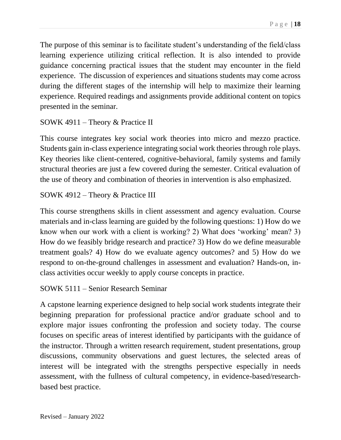The purpose of this seminar is to facilitate student's understanding of the field/class learning experience utilizing critical reflection. It is also intended to provide guidance concerning practical issues that the student may encounter in the field experience. The discussion of experiences and situations students may come across during the different stages of the internship will help to maximize their learning experience. Required readings and assignments provide additional content on topics presented in the seminar.

#### SOWK 4911 – Theory & Practice II

This course integrates key social work theories into micro and mezzo practice. Students gain in-class experience integrating social work theories through role plays. Key theories like client-centered, cognitive-behavioral, family systems and family structural theories are just a few covered during the semester. Critical evaluation of the use of theory and combination of theories in intervention is also emphasized.

#### SOWK 4912 – Theory & Practice III

This course strengthens skills in client assessment and agency evaluation. Course materials and in-class learning are guided by the following questions: 1) How do we know when our work with a client is working? 2) What does 'working' mean? 3) How do we feasibly bridge research and practice? 3) How do we define measurable treatment goals? 4) How do we evaluate agency outcomes? and 5) How do we respond to on-the-ground challenges in assessment and evaluation? Hands-on, inclass activities occur weekly to apply course concepts in practice.

#### SOWK 5111 – Senior Research Seminar

A capstone learning experience designed to help social work students integrate their beginning preparation for professional practice and/or graduate school and to explore major issues confronting the profession and society today. The course focuses on specific areas of interest identified by participants with the guidance of the instructor. Through a written research requirement, student presentations, group discussions, community observations and guest lectures, the selected areas of interest will be integrated with the strengths perspective especially in needs assessment, with the fullness of cultural competency, in evidence-based/researchbased best practice.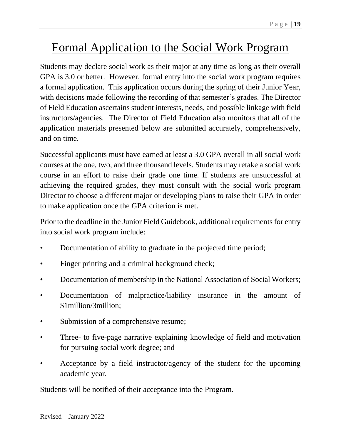# Formal Application to the Social Work Program

Students may declare social work as their major at any time as long as their overall GPA is 3.0 or better. However, formal entry into the social work program requires a formal application. This application occurs during the spring of their Junior Year, with decisions made following the recording of that semester's grades. The Director of Field Education ascertains student interests, needs, and possible linkage with field instructors/agencies. The Director of Field Education also monitors that all of the application materials presented below are submitted accurately, comprehensively, and on time.

Successful applicants must have earned at least a 3.0 GPA overall in all social work courses at the one, two, and three thousand levels. Students may retake a social work course in an effort to raise their grade one time. If students are unsuccessful at achieving the required grades, they must consult with the social work program Director to choose a different major or developing plans to raise their GPA in order to make application once the GPA criterion is met.

Prior to the deadline in the Junior Field Guidebook, additional requirements for entry into social work program include:

- Documentation of ability to graduate in the projected time period;
- Finger printing and a criminal background check;
- Documentation of membership in the National Association of Social Workers;
- Documentation of malpractice/liability insurance in the amount of \$1million/3million;
- Submission of a comprehensive resume;
- Three- to five-page narrative explaining knowledge of field and motivation for pursuing social work degree; and
- Acceptance by a field instructor/agency of the student for the upcoming academic year.

Students will be notified of their acceptance into the Program.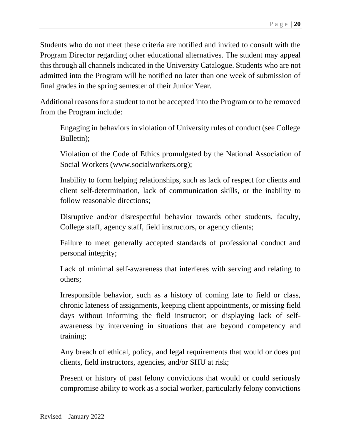Students who do not meet these criteria are notified and invited to consult with the Program Director regarding other educational alternatives. The student may appeal this through all channels indicated in the University Catalogue. Students who are not admitted into the Program will be notified no later than one week of submission of final grades in the spring semester of their Junior Year.

Additional reasons for a student to not be accepted into the Program or to be removed from the Program include:

Engaging in behaviors in violation of University rules of conduct (see College Bulletin);

Violation of the Code of Ethics promulgated by the National Association of Social Workers (www.socialworkers.org);

Inability to form helping relationships, such as lack of respect for clients and client self-determination, lack of communication skills, or the inability to follow reasonable directions;

Disruptive and/or disrespectful behavior towards other students, faculty, College staff, agency staff, field instructors, or agency clients;

Failure to meet generally accepted standards of professional conduct and personal integrity;

Lack of minimal self-awareness that interferes with serving and relating to others;

Irresponsible behavior, such as a history of coming late to field or class, chronic lateness of assignments, keeping client appointments, or missing field days without informing the field instructor; or displaying lack of selfawareness by intervening in situations that are beyond competency and training;

Any breach of ethical, policy, and legal requirements that would or does put clients, field instructors, agencies, and/or SHU at risk;

Present or history of past felony convictions that would or could seriously compromise ability to work as a social worker, particularly felony convictions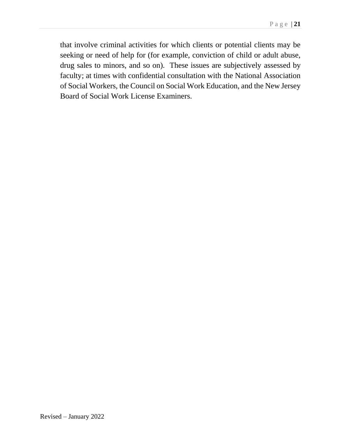that involve criminal activities for which clients or potential clients may be seeking or need of help for (for example, conviction of child or adult abuse, drug sales to minors, and so on). These issues are subjectively assessed by faculty; at times with confidential consultation with the National Association of Social Workers, the Council on Social Work Education, and the New Jersey Board of Social Work License Examiners.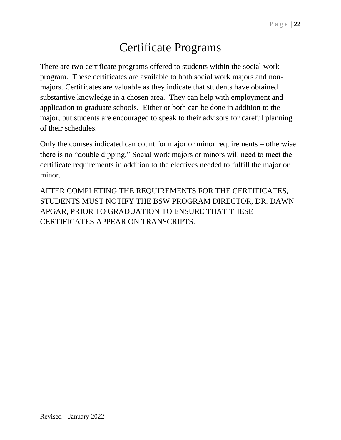# Certificate Programs

There are two certificate programs offered to students within the social work program. These certificates are available to both social work majors and nonmajors. Certificates are valuable as they indicate that students have obtained substantive knowledge in a chosen area. They can help with employment and application to graduate schools. Either or both can be done in addition to the major, but students are encouraged to speak to their advisors for careful planning of their schedules.

Only the courses indicated can count for major or minor requirements – otherwise there is no "double dipping." Social work majors or minors will need to meet the certificate requirements in addition to the electives needed to fulfill the major or minor.

AFTER COMPLETING THE REQUIREMENTS FOR THE CERTIFICATES, STUDENTS MUST NOTIFY THE BSW PROGRAM DIRECTOR, DR. DAWN APGAR, PRIOR TO GRADUATION TO ENSURE THAT THESE CERTIFICATES APPEAR ON TRANSCRIPTS.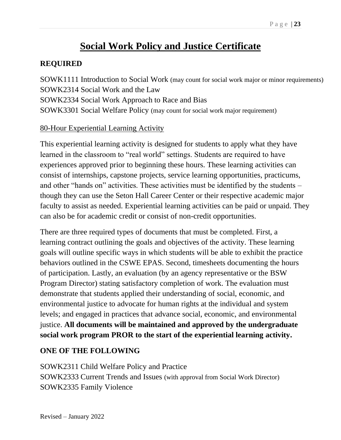### **Social Work Policy and Justice Certificate**

#### **REQUIRED**

SOWK1111 Introduction to Social Work (may count for social work major or minor requirements) SOWK2314 Social Work and the Law SOWK2334 Social Work Approach to Race and Bias SOWK3301 Social Welfare Policy (may count for social work major requirement)

#### 80-Hour Experiential Learning Activity

This experiential learning activity is designed for students to apply what they have learned in the classroom to "real world" settings. Students are required to have experiences approved prior to beginning these hours. These learning activities can consist of internships, capstone projects, service learning opportunities, practicums, and other "hands on" activities. These activities must be identified by the students – though they can use the Seton Hall Career Center or their respective academic major faculty to assist as needed. Experiential learning activities can be paid or unpaid. They can also be for academic credit or consist of non-credit opportunities.

There are three required types of documents that must be completed. First, a learning contract outlining the goals and objectives of the activity. These learning goals will outline specific ways in which students will be able to exhibit the practice behaviors outlined in the CSWE EPAS. Second, timesheets documenting the hours of participation. Lastly, an evaluation (by an agency representative or the BSW Program Director) stating satisfactory completion of work. The evaluation must demonstrate that students applied their understanding of social, economic, and environmental justice to advocate for human rights at the individual and system levels; and engaged in practices that advance social, economic, and environmental justice. **All documents will be maintained and approved by the undergraduate social work program PROR to the start of the experiential learning activity.** 

#### **ONE OF THE FOLLOWING**

SOWK2311 Child Welfare Policy and Practice SOWK2333 Current Trends and Issues (with approval from Social Work Director) SOWK2335 Family Violence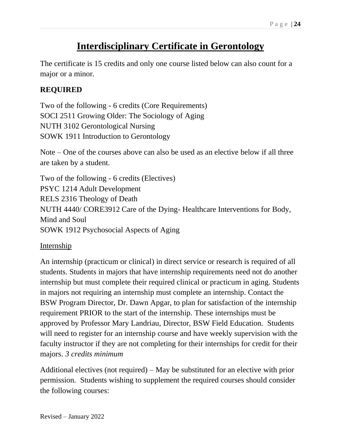### **Interdisciplinary Certificate in Gerontology**

The certificate is 15 credits and only one course listed below can also count for a major or a minor.

#### **REQUIRED**

Two of the following - 6 credits (Core Requirements) SOCI 2511 Growing Older: The Sociology of Aging NUTH 3102 Gerontological Nursing SOWK 1911 Introduction to Gerontology

Note – One of the courses above can also be used as an elective below if all three are taken by a student.

Two of the following - 6 credits (Electives) PSYC 1214 Adult Development RELS 2316 Theology of Death NUTH 4440/ CORE3912 Care of the Dying- Healthcare Interventions for Body, Mind and Soul SOWK 1912 Psychosocial Aspects of Aging

Internship

An internship (practicum or clinical) in direct service or research is required of all students. Students in majors that have internship requirements need not do another internship but must complete their required clinical or practicum in aging. Students in majors not requiring an internship must complete an internship. Contact the BSW Program Director, Dr. Dawn Apgar, to plan for satisfaction of the internship requirement PRIOR to the start of the internship. These internships must be approved by Professor Mary Landriau, Director, BSW Field Education. Students will need to register for an internship course and have weekly supervision with the faculty instructor if they are not completing for their internships for credit for their majors. *3 credits minimum*

Additional electives (not required) – May be substituted for an elective with prior permission. Students wishing to supplement the required courses should consider the following courses: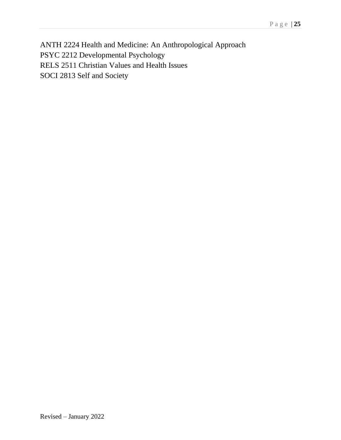ANTH 2224 Health and Medicine: An Anthropological Approach PSYC 2212 Developmental Psychology RELS 2511 Christian Values and Health Issues SOCI 2813 Self and Society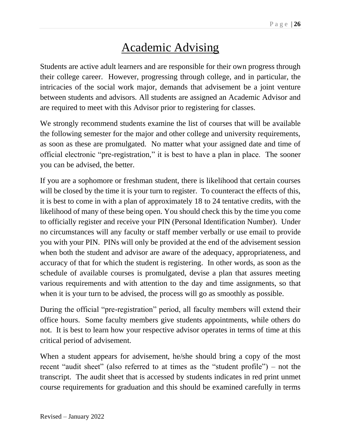# Academic Advising

Students are active adult learners and are responsible for their own progress through their college career. However, progressing through college, and in particular, the intricacies of the social work major, demands that advisement be a joint venture between students and advisors. All students are assigned an Academic Advisor and are required to meet with this Advisor prior to registering for classes.

We strongly recommend students examine the list of courses that will be available the following semester for the major and other college and university requirements, as soon as these are promulgated. No matter what your assigned date and time of official electronic "pre-registration," it is best to have a plan in place. The sooner you can be advised, the better.

If you are a sophomore or freshman student, there is likelihood that certain courses will be closed by the time it is your turn to register. To counteract the effects of this, it is best to come in with a plan of approximately 18 to 24 tentative credits, with the likelihood of many of these being open. You should check this by the time you come to officially register and receive your PIN (Personal Identification Number). Under no circumstances will any faculty or staff member verbally or use email to provide you with your PIN. PINs will only be provided at the end of the advisement session when both the student and advisor are aware of the adequacy, appropriateness, and accuracy of that for which the student is registering. In other words, as soon as the schedule of available courses is promulgated, devise a plan that assures meeting various requirements and with attention to the day and time assignments, so that when it is your turn to be advised, the process will go as smoothly as possible.

During the official "pre-registration" period, all faculty members will extend their office hours. Some faculty members give students appointments, while others do not. It is best to learn how your respective advisor operates in terms of time at this critical period of advisement.

When a student appears for advisement, he/she should bring a copy of the most recent "audit sheet" (also referred to at times as the "student profile") – not the transcript. The audit sheet that is accessed by students indicates in red print unmet course requirements for graduation and this should be examined carefully in terms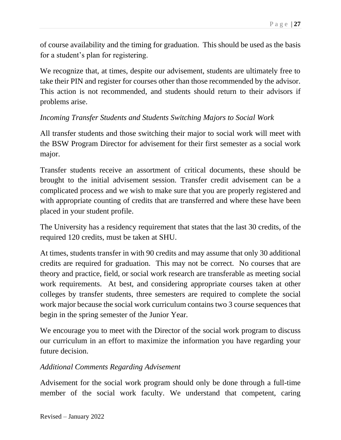of course availability and the timing for graduation. This should be used as the basis for a student's plan for registering.

We recognize that, at times, despite our advisement, students are ultimately free to take their PIN and register for courses other than those recommended by the advisor. This action is not recommended, and students should return to their advisors if problems arise.

#### *Incoming Transfer Students and Students Switching Majors to Social Work*

All transfer students and those switching their major to social work will meet with the BSW Program Director for advisement for their first semester as a social work major.

Transfer students receive an assortment of critical documents, these should be brought to the initial advisement session. Transfer credit advisement can be a complicated process and we wish to make sure that you are properly registered and with appropriate counting of credits that are transferred and where these have been placed in your student profile.

The University has a residency requirement that states that the last 30 credits, of the required 120 credits, must be taken at SHU.

At times, students transfer in with 90 credits and may assume that only 30 additional credits are required for graduation. This may not be correct. No courses that are theory and practice, field, or social work research are transferable as meeting social work requirements. At best, and considering appropriate courses taken at other colleges by transfer students, three semesters are required to complete the social work major because the social work curriculum contains two 3 course sequences that begin in the spring semester of the Junior Year.

We encourage you to meet with the Director of the social work program to discuss our curriculum in an effort to maximize the information you have regarding your future decision.

#### *Additional Comments Regarding Advisement*

Advisement for the social work program should only be done through a full-time member of the social work faculty. We understand that competent, caring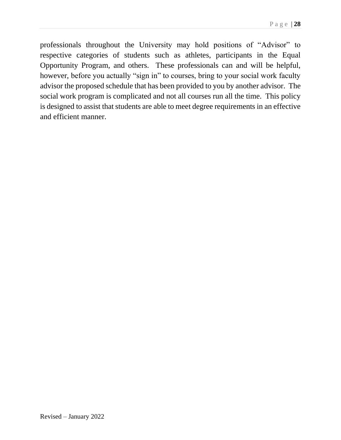professionals throughout the University may hold positions of "Advisor" to respective categories of students such as athletes, participants in the Equal Opportunity Program, and others. These professionals can and will be helpful, however, before you actually "sign in" to courses, bring to your social work faculty advisor the proposed schedule that has been provided to you by another advisor. The social work program is complicated and not all courses run all the time. This policy is designed to assist that students are able to meet degree requirements in an effective and efficient manner.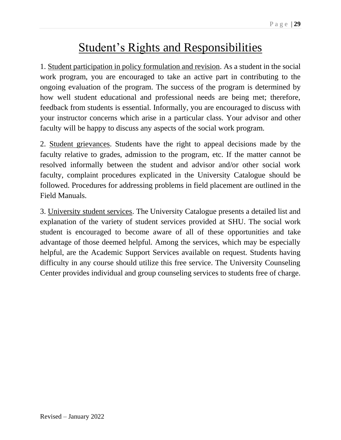### Student's Rights and Responsibilities

1. Student participation in policy formulation and revision. As a student in the social work program, you are encouraged to take an active part in contributing to the ongoing evaluation of the program. The success of the program is determined by how well student educational and professional needs are being met; therefore, feedback from students is essential. Informally, you are encouraged to discuss with your instructor concerns which arise in a particular class. Your advisor and other faculty will be happy to discuss any aspects of the social work program.

2. Student grievances. Students have the right to appeal decisions made by the faculty relative to grades, admission to the program, etc. If the matter cannot be resolved informally between the student and advisor and/or other social work faculty, complaint procedures explicated in the University Catalogue should be followed. Procedures for addressing problems in field placement are outlined in the Field Manuals.

3. University student services. The University Catalogue presents a detailed list and explanation of the variety of student services provided at SHU. The social work student is encouraged to become aware of all of these opportunities and take advantage of those deemed helpful. Among the services, which may be especially helpful, are the Academic Support Services available on request. Students having difficulty in any course should utilize this free service. The University Counseling Center provides individual and group counseling services to students free of charge.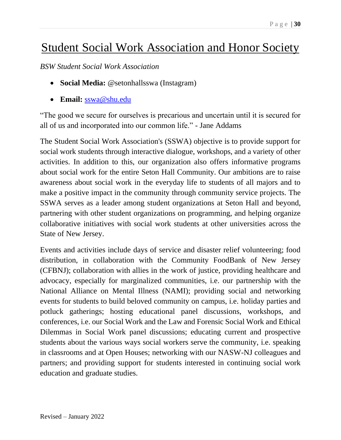# Student Social Work Association and Honor Society

*BSW Student Social Work Association*

- **Social Media:** @setonhallsswa (Instagram)
- **Email:** [sswa@shu.edu](mailto:sswa@shu.edu)

"The good we secure for ourselves is precarious and uncertain until it is secured for all of us and incorporated into our common life." - Jane Addams

The Student Social Work Association's (SSWA) objective is to provide support for social work students through interactive dialogue, workshops, and a variety of other activities. In addition to this, our organization also offers informative programs about social work for the entire Seton Hall Community. Our ambitions are to raise awareness about social work in the everyday life to students of all majors and to make a positive impact in the community through community service projects. The SSWA serves as a leader among student organizations at Seton Hall and beyond, partnering with other student organizations on programming, and helping organize collaborative initiatives with social work students at other universities across the State of New Jersey.

Events and activities include days of service and disaster relief volunteering; food distribution, in collaboration with the Community FoodBank of New Jersey (CFBNJ); collaboration with allies in the work of justice, providing healthcare and advocacy, especially for marginalized communities, i.e. our partnership with the National Alliance on Mental Illness (NAMI); providing social and networking events for students to build beloved community on campus, i.e. holiday parties and potluck gatherings; hosting educational panel discussions, workshops, and conferences, i.e. our Social Work and the Law and Forensic Social Work and Ethical Dilemmas in Social Work panel discussions; educating current and prospective students about the various ways social workers serve the community, i.e. speaking in classrooms and at Open Houses; networking with our NASW-NJ colleagues and partners; and providing support for students interested in continuing social work education and graduate studies.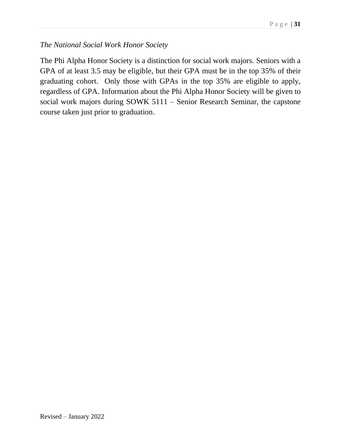#### *The National Social Work Honor Society*

The Phi Alpha Honor Society is a distinction for social work majors. Seniors with a GPA of at least 3.5 may be eligible, but their GPA must be in the top 35% of their graduating cohort. Only those with GPAs in the top 35% are eligible to apply, regardless of GPA. Information about the Phi Alpha Honor Society will be given to social work majors during SOWK 5111 – Senior Research Seminar, the capstone course taken just prior to graduation.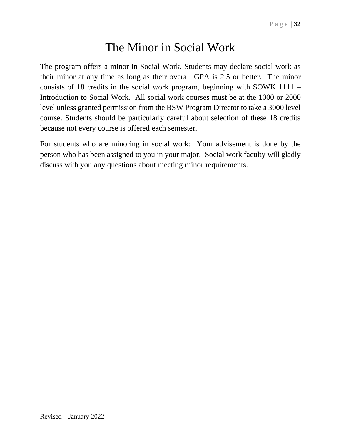### The Minor in Social Work

The program offers a minor in Social Work. Students may declare social work as their minor at any time as long as their overall GPA is 2.5 or better. The minor consists of 18 credits in the social work program, beginning with SOWK 1111 – Introduction to Social Work. All social work courses must be at the 1000 or 2000 level unless granted permission from the BSW Program Director to take a 3000 level course. Students should be particularly careful about selection of these 18 credits because not every course is offered each semester.

For students who are minoring in social work: Your advisement is done by the person who has been assigned to you in your major. Social work faculty will gladly discuss with you any questions about meeting minor requirements.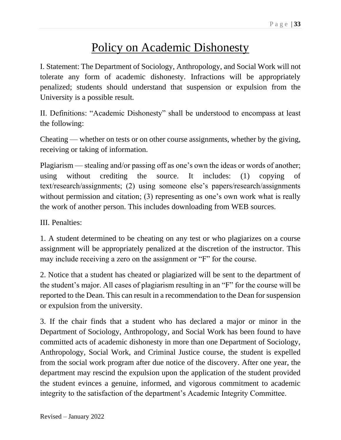### Policy on Academic Dishonesty

I. Statement: The Department of Sociology, Anthropology, and Social Work will not tolerate any form of academic dishonesty. Infractions will be appropriately penalized; students should understand that suspension or expulsion from the University is a possible result.

II. Definitions: "Academic Dishonesty" shall be understood to encompass at least the following:

Cheating — whether on tests or on other course assignments, whether by the giving, receiving or taking of information.

Plagiarism — stealing and/or passing off as one's own the ideas or words of another; using without crediting the source. It includes: (1) copying of text/research/assignments; (2) using someone else's papers/research/assignments without permission and citation; (3) representing as one's own work what is really the work of another person. This includes downloading from WEB sources.

III. Penalties:

1. A student determined to be cheating on any test or who plagiarizes on a course assignment will be appropriately penalized at the discretion of the instructor. This may include receiving a zero on the assignment or "F" for the course.

2. Notice that a student has cheated or plagiarized will be sent to the department of the student's major. All cases of plagiarism resulting in an "F" for the course will be reported to the Dean. This can result in a recommendation to the Dean for suspension or expulsion from the university.

3. If the chair finds that a student who has declared a major or minor in the Department of Sociology, Anthropology, and Social Work has been found to have committed acts of academic dishonesty in more than one Department of Sociology, Anthropology, Social Work, and Criminal Justice course, the student is expelled from the social work program after due notice of the discovery. After one year, the department may rescind the expulsion upon the application of the student provided the student evinces a genuine, informed, and vigorous commitment to academic integrity to the satisfaction of the department's Academic Integrity Committee.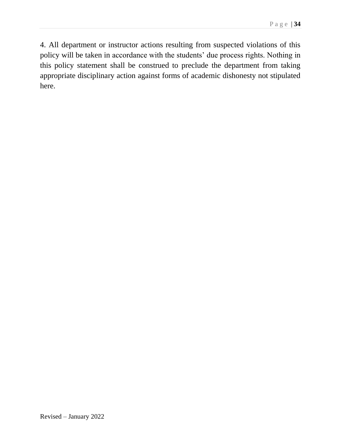4. All department or instructor actions resulting from suspected violations of this policy will be taken in accordance with the students' due process rights. Nothing in this policy statement shall be construed to preclude the department from taking appropriate disciplinary action against forms of academic dishonesty not stipulated here.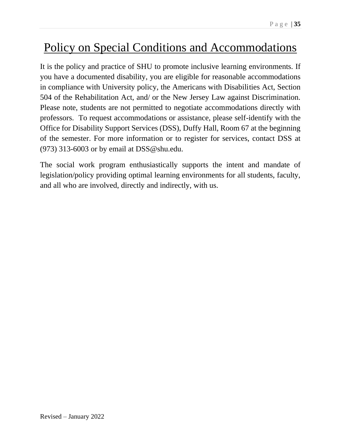# Policy on Special Conditions and Accommodations

It is the policy and practice of SHU to promote inclusive learning environments. If you have a documented disability, you are eligible for reasonable accommodations in compliance with University policy, the Americans with Disabilities Act, Section 504 of the Rehabilitation Act, and/ or the New Jersey Law against Discrimination. Please note, students are not permitted to negotiate accommodations directly with professors. To request accommodations or assistance, please self-identify with the Office for Disability Support Services (DSS), Duffy Hall, Room 67 at the beginning of the semester. For more information or to register for services, contact DSS at  $(973)$  313-6003 or by email at DSS@shu.edu.

The social work program enthusiastically supports the intent and mandate of legislation/policy providing optimal learning environments for all students, faculty, and all who are involved, directly and indirectly, with us.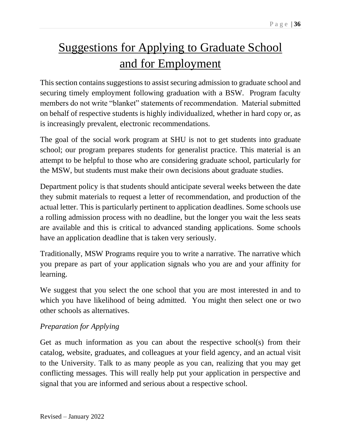# Suggestions for Applying to Graduate School and for Employment

This section contains suggestions to assist securing admission to graduate school and securing timely employment following graduation with a BSW. Program faculty members do not write "blanket" statements of recommendation. Material submitted on behalf of respective students is highly individualized, whether in hard copy or, as is increasingly prevalent, electronic recommendations.

The goal of the social work program at SHU is not to get students into graduate school; our program prepares students for generalist practice. This material is an attempt to be helpful to those who are considering graduate school, particularly for the MSW, but students must make their own decisions about graduate studies.

Department policy is that students should anticipate several weeks between the date they submit materials to request a letter of recommendation, and production of the actual letter. This is particularly pertinent to application deadlines. Some schools use a rolling admission process with no deadline, but the longer you wait the less seats are available and this is critical to advanced standing applications. Some schools have an application deadline that is taken very seriously.

Traditionally, MSW Programs require you to write a narrative. The narrative which you prepare as part of your application signals who you are and your affinity for learning.

We suggest that you select the one school that you are most interested in and to which you have likelihood of being admitted. You might then select one or two other schools as alternatives.

#### *Preparation for Applying*

Get as much information as you can about the respective school(s) from their catalog, website, graduates, and colleagues at your field agency, and an actual visit to the University. Talk to as many people as you can, realizing that you may get conflicting messages. This will really help put your application in perspective and signal that you are informed and serious about a respective school.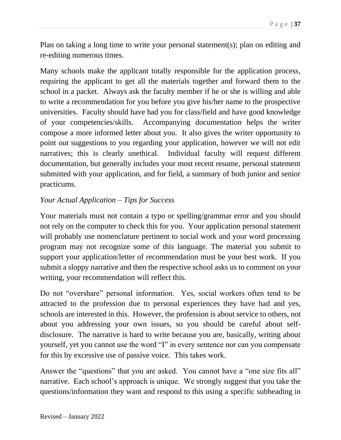Plan on taking a long time to write your personal statement(s); plan on editing and re-editing numerous times.

Many schools make the applicant totally responsible for the application process, requiring the applicant to get all the materials together and forward them to the school in a packet. Always ask the faculty member if he or she is willing and able to write a recommendation for you before you give his/her name to the prospective universities. Faculty should have had you for class/field and have good knowledge of your competencies/skills. Accompanying documentation helps the writer compose a more informed letter about you. It also gives the writer opportunity to point out suggestions to you regarding your application, however we will not edit narratives; this is clearly unethical. Individual faculty will request different documentation, but generally includes your most recent resume, personal statement submitted with your application, and for field, a summary of both junior and senior practicums.

#### *Your Actual Application – Tips for Success*

Your materials must not contain a typo or spelling/grammar error and you should not rely on the computer to check this for you. Your application personal statement will probably use nomenclature pertinent to social work and your word processing program may not recognize some of this language. The material you submit to support your application/letter of recommendation must be your best work. If you submit a sloppy narrative and then the respective school asks us to comment on your writing, your recommendation will reflect this.

Do not "overshare" personal information. Yes, social workers often tend to be attracted to the profession due to personal experiences they have had and yes, schools are interested in this. However, the profession is about service to others, not about you addressing your own issues, so you should be careful about selfdisclosure. The narrative is hard to write because you are, basically, writing about yourself, yet you cannot use the word "I" in every sentence nor can you compensate for this by excessive use of passive voice. This takes work.

Answer the "questions" that you are asked. You cannot have a "one size fits all" narrative. Each school's approach is unique. We strongly suggest that you take the questions/information they want and respond to this using a specific subheading in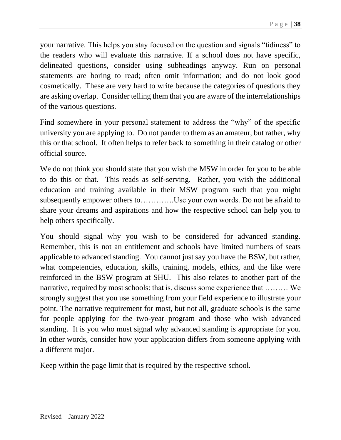your narrative. This helps you stay focused on the question and signals "tidiness" to the readers who will evaluate this narrative. If a school does not have specific, delineated questions, consider using subheadings anyway. Run on personal statements are boring to read; often omit information; and do not look good cosmetically. These are very hard to write because the categories of questions they are asking overlap. Consider telling them that you are aware of the interrelationships of the various questions.

Find somewhere in your personal statement to address the "why" of the specific university you are applying to. Do not pander to them as an amateur, but rather, why this or that school. It often helps to refer back to something in their catalog or other official source.

We do not think you should state that you wish the MSW in order for you to be able to do this or that. This reads as self-serving. Rather, you wish the additional education and training available in their MSW program such that you might subsequently empower others to………….Use your own words. Do not be afraid to share your dreams and aspirations and how the respective school can help you to help others specifically.

You should signal why you wish to be considered for advanced standing. Remember, this is not an entitlement and schools have limited numbers of seats applicable to advanced standing. You cannot just say you have the BSW, but rather, what competencies, education, skills, training, models, ethics, and the like were reinforced in the BSW program at SHU. This also relates to another part of the narrative, required by most schools: that is, discuss some experience that ……… We strongly suggest that you use something from your field experience to illustrate your point. The narrative requirement for most, but not all, graduate schools is the same for people applying for the two-year program and those who wish advanced standing. It is you who must signal why advanced standing is appropriate for you. In other words, consider how your application differs from someone applying with a different major.

Keep within the page limit that is required by the respective school.